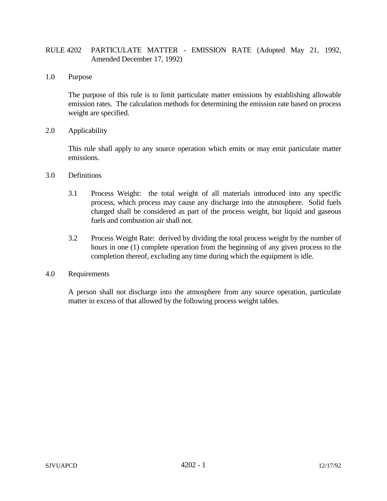## RULE 4202 PARTICULATE MATTER - EMISSION RATE (Adopted May 21, 1992, Amended December 17, 1992)

1.0 Purpose

The purpose of this rule is to limit particulate matter emissions by establishing allowable emission rates. The calculation methods for determining the emission rate based on process weight are specified.

2.0 Applicability

This rule shall apply to any source operation which emits or may emit particulate matter emissions.

## 3.0 Definitions

- 3.1 Process Weight: the total weight of all materials introduced into any specific process, which process may cause any discharge into the atmosphere. Solid fuels charged shall be considered as part of the process weight, but liquid and gaseous fuels and combustion air shall not.
- 3.2 Process Weight Rate: derived by dividing the total process weight by the number of hours in one (1) complete operation from the beginning of any given process to the completion thereof, excluding any time during which the equipment is idle.

## 4.0 Requirements

A person shall not discharge into the atmosphere from any source operation, particulate matter in excess of that allowed by the following process weight tables.